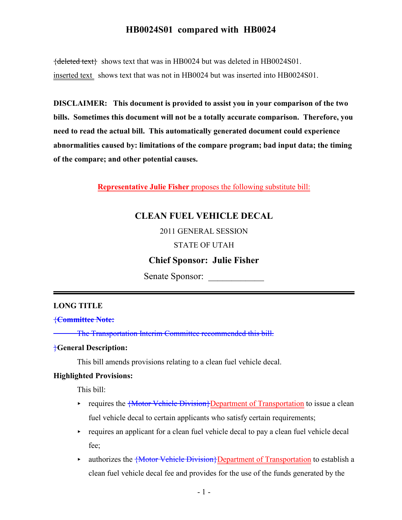${deleted text}$  shows text that was in HB0024 but was deleted in HB0024S01. inserted text shows text that was not in HB0024 but was inserted into HB0024S01.

DISCLAIMER: This document is provided to assist you in your comparison of the two bills. Sometimes this document will not be a totally accurate comparison. Therefore, you need to read the actual bill. This automatically generated document could experience abnormalities caused by: limitations of the compare program; bad input data; the timing of the compare; and other potential causes.

Representative Julie Fisher proposes the following substitute bill:

# CLEAN FUEL VEHICLE DECAL

2011 GENERAL SESSION

STATE OF UTAH

Chief Sponsor: Julie Fisher

Senate Sponsor:

#### LONG TITLE

{Committee Note:

The Transportation Interim Committee recommended this bill.

#### }General Description:

This bill amends provisions relating to a clean fuel vehicle decal.

#### Highlighted Provisions:

This bill:

- requires the **{Motor Vehicle Division}Department of Transportation** to issue a clean fuel vehicle decal to certain applicants who satisfy certain requirements;
- $\rightarrow$  requires an applicant for a clean fuel vehicle decal to pay a clean fuel vehicle decal fee;
- uthorizes the  $\{Motor Vehicle Division\}$ Department of Transportation to establish a clean fuel vehicle decal fee and provides for the use of the funds generated by the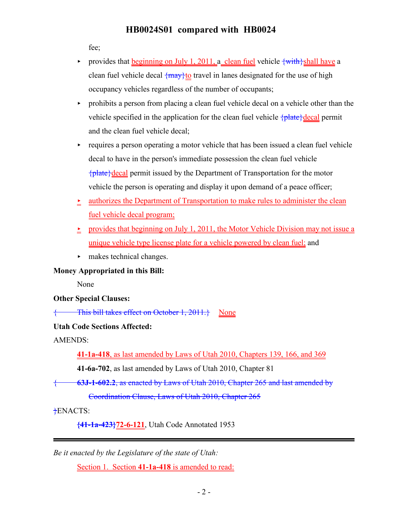fee;

- provides that beginning on July 1, 2011, a clean fuel vehicle  $\{\text{with}\}$ shall have a clean fuel vehicle decal  $\{\frac{max}{t}\}$  travel in lanes designated for the use of high occupancy vehicles regardless of the number of occupants;
- $\rightarrow$  prohibits a person from placing a clean fuel vehicle decal on a vehicle other than the vehicle specified in the application for the clean fuel vehicle  $\{\text{plate}\}\$ decal permit and the clean fuel vehicle decal;
- $\rightarrow$  requires a person operating a motor vehicle that has been issued a clean fuel vehicle decal to have in the person's immediate possession the clean fuel vehicle  ${\mathcal{A}}$  plate  ${\mathcal{A}}$  decal permit issued by the Department of Transportation for the motor vehicle the person is operating and display it upon demand of a peace officer;
- $\geq$  authorizes the Department of Transportation to make rules to administer the clean fuel vehicle decal program;
- r provides that beginning on July 1, 2011, the Motor Vehicle Division may not issue a unique vehicle type license plate for a vehicle powered by clean fuel; and
- $\blacktriangleright$  makes technical changes.

Money Appropriated in this Bill:

None

Other Special Clauses:

This bill takes effect on October 1,  $2011.$ } None

Utah Code Sections Affected:

AMENDS:

41-1a-418, as last amended by Laws of Utah 2010, Chapters 139, 166, and 369

41-6a-702, as last amended by Laws of Utah 2010, Chapter 81

{ 63J-1-602.2, as enacted by Laws of Utah 2010, Chapter 265 and last amended by

Coordination Clause, Laws of Utah 2010, Chapter 265

}ENACTS:

{41-1a-423}72-6-121, Utah Code Annotated 1953

Be it enacted by the Legislature of the state of Utah:

Section 1. Section 41-1a-418 is amended to read: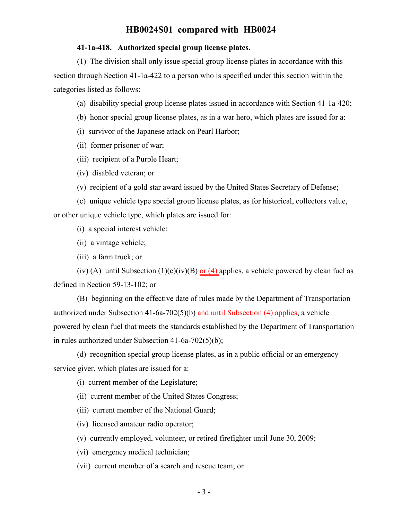#### 41-1a-418. Authorized special group license plates.

(1) The division shall only issue special group license plates in accordance with this section through Section 41-1a-422 to a person who is specified under this section within the categories listed as follows:

(a) disability special group license plates issued in accordance with Section 41-1a-420;

- (b) honor special group license plates, as in a war hero, which plates are issued for a:
- (i) survivor of the Japanese attack on Pearl Harbor;
- (ii) former prisoner of war;
- (iii) recipient of a Purple Heart;
- (iv) disabled veteran; or
- (v) recipient of a gold star award issued by the United States Secretary of Defense;

(c) unique vehicle type special group license plates, as for historical, collectors value, or other unique vehicle type, which plates are issued for:

(i) a special interest vehicle;

- (ii) a vintage vehicle;
- (iii) a farm truck; or

(iv) (A) until Subsection (1)(c)(iv)(B) or (4) applies, a vehicle powered by clean fuel as defined in Section 59-13-102; or

(B) beginning on the effective date of rules made by the Department of Transportation authorized under Subsection 41-6a-702(5)(b) and until Subsection (4) applies, a vehicle powered by clean fuel that meets the standards established by the Department of Transportation in rules authorized under Subsection 41-6a-702(5)(b);

(d) recognition special group license plates, as in a public official or an emergency service giver, which plates are issued for a:

(i) current member of the Legislature;

(ii) current member of the United States Congress;

- (iii) current member of the National Guard;
- (iv) licensed amateur radio operator;
- (v) currently employed, volunteer, or retired firefighter until June 30, 2009;
- (vi) emergency medical technician;

(vii) current member of a search and rescue team; or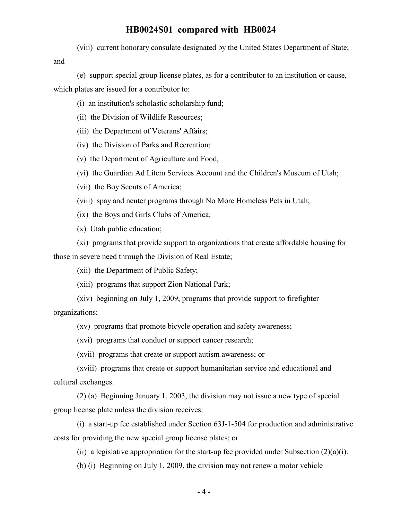(viii) current honorary consulate designated by the United States Department of State;

and

(e) support special group license plates, as for a contributor to an institution or cause, which plates are issued for a contributor to:

- (i) an institution's scholastic scholarship fund;
- (ii) the Division of Wildlife Resources;
- (iii) the Department of Veterans' Affairs;
- (iv) the Division of Parks and Recreation;
- (v) the Department of Agriculture and Food;
- (vi) the Guardian Ad Litem Services Account and the Children's Museum of Utah;
- (vii) the Boy Scouts of America;
- (viii) spay and neuter programs through No More Homeless Pets in Utah;
- (ix) the Boys and Girls Clubs of America;

(x) Utah public education;

(xi) programs that provide support to organizations that create affordable housing for those in severe need through the Division of Real Estate;

(xii) the Department of Public Safety;

(xiii) programs that support Zion National Park;

(xiv) beginning on July 1, 2009, programs that provide support to firefighter organizations;

(xv) programs that promote bicycle operation and safety awareness;

(xvi) programs that conduct or support cancer research;

(xvii) programs that create or support autism awareness; or

(xviii) programs that create or support humanitarian service and educational and cultural exchanges.

(2) (a) Beginning January 1, 2003, the division may not issue a new type of special group license plate unless the division receives:

(i) a start-up fee established under Section 63J-1-504 for production and administrative costs for providing the new special group license plates; or

(ii) a legislative appropriation for the start-up fee provided under Subsection  $(2)(a)(i)$ .

(b) (i) Beginning on July 1, 2009, the division may not renew a motor vehicle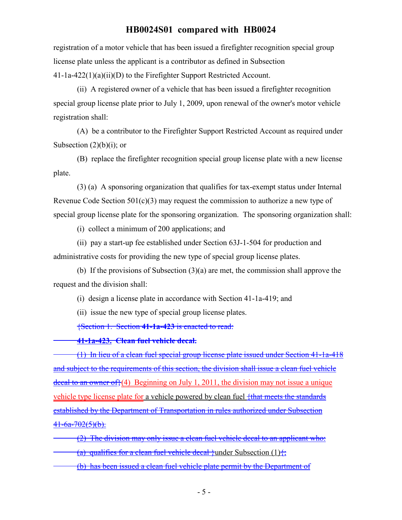registration of a motor vehicle that has been issued a firefighter recognition special group license plate unless the applicant is a contributor as defined in Subsection 41-1a-422(1)(a)(ii)(D) to the Firefighter Support Restricted Account.

(ii) A registered owner of a vehicle that has been issued a firefighter recognition special group license plate prior to July 1, 2009, upon renewal of the owner's motor vehicle registration shall:

(A) be a contributor to the Firefighter Support Restricted Account as required under Subsection  $(2)(b)(i)$ ; or

(B) replace the firefighter recognition special group license plate with a new license plate.

(3) (a) A sponsoring organization that qualifies for tax-exempt status under Internal Revenue Code Section 501(c)(3) may request the commission to authorize a new type of special group license plate for the sponsoring organization. The sponsoring organization shall:

(i) collect a minimum of 200 applications; and

(ii) pay a start-up fee established under Section 63J-1-504 for production and administrative costs for providing the new type of special group license plates.

(b) If the provisions of Subsection (3)(a) are met, the commission shall approve the request and the division shall:

(i) design a license plate in accordance with Section 41-1a-419; and

(ii) issue the new type of special group license plates.

{Section 1. Section 41-1a-423 is enacted to read:

41-1a-423. Clean fuel vehicle decal.

(1) In lieu of a clean fuel special group license plate issued under Section 41-1a-418 and subject to the requirements of this section, the division shall issue a clean fuel vehicle decal to an owner of  $(4)$  Beginning on July 1, 2011, the division may not issue a unique vehicle type license plate for a vehicle powered by clean fuel  $\frac{1}{1}$ that meets the standards established by the Department of Transportation in rules authorized under Subsection  $41-6a-702(5)(b)$ .

(2) The division may only issue a clean fuel vehicle decal to an applicant who: (a) qualifies for a clean fuel vehicle decal }under Subsection (1) $\frac{1}{2}$ ;

(b) has been issued a clean fuel vehicle plate permit by the Department of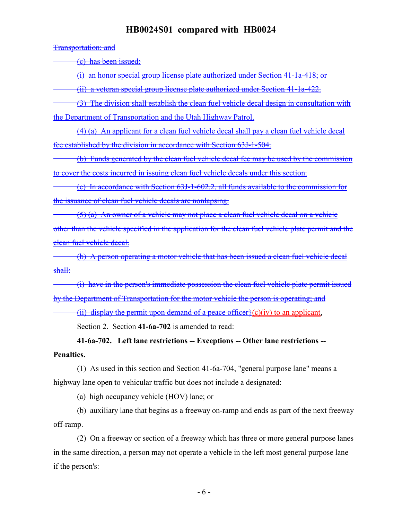Transportation; and

(c) has been issued:

(i) an honor special group license plate authorized under Section 41-1a-418; or

(ii) a veteran special group license plate authorized under Section 41-1a-422.

(3) The division shall establish the clean fuel vehicle decal design in consultation with the Department of Transportation and the Utah Highway Patrol.

(4) (a) An applicant for a clean fuel vehicle decal shall pay a clean fuel vehicle decal fee established by the division in accordance with Section 63J-1-504.

(b) Funds generated by the clean fuel vehicle decal fee may be used by the commission to cover the costs incurred in issuing clean fuel vehicle decals under this section.

(c) In accordance with Section 63J-1-602.2, all funds available to the commission for the issuance of clean fuel vehicle decals are nonlapsing.

(5) (a) An owner of a vehicle may not place a clean fuel vehicle decal on a vehicle other than the vehicle specified in the application for the clean fuel vehicle plate permit and the clean fuel vehicle decal.

(b) A person operating a motor vehicle that has been issued a clean fuel vehicle decal shall:

(i) have in the person's immediate possession the clean fuel vehicle plate permit issued by the Department of Transportation for the motor vehicle the person is operating; and

(ii) display the permit upon demand of a peace officer $(c)(iv)$  to an applicant.

Section 2. Section 41-6a-702 is amended to read:

41-6a-702. Left lane restrictions -- Exceptions -- Other lane restrictions -- Penalties.

(1) As used in this section and Section 41-6a-704, "general purpose lane" means a highway lane open to vehicular traffic but does not include a designated:

(a) high occupancy vehicle (HOV) lane; or

(b) auxiliary lane that begins as a freeway on-ramp and ends as part of the next freeway off-ramp.

(2) On a freeway or section of a freeway which has three or more general purpose lanes in the same direction, a person may not operate a vehicle in the left most general purpose lane if the person's: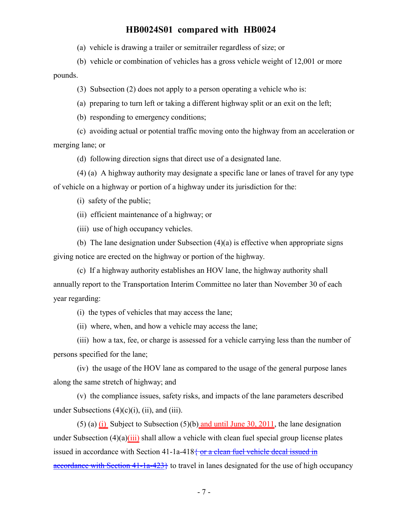(a) vehicle is drawing a trailer or semitrailer regardless of size; or

(b) vehicle or combination of vehicles has a gross vehicle weight of 12,001 or more pounds.

(3) Subsection (2) does not apply to a person operating a vehicle who is:

(a) preparing to turn left or taking a different highway split or an exit on the left;

(b) responding to emergency conditions;

(c) avoiding actual or potential traffic moving onto the highway from an acceleration or merging lane; or

(d) following direction signs that direct use of a designated lane.

(4) (a) A highway authority may designate a specific lane or lanes of travel for any type of vehicle on a highway or portion of a highway under its jurisdiction for the:

(i) safety of the public;

(ii) efficient maintenance of a highway; or

(iii) use of high occupancy vehicles.

(b) The lane designation under Subsection (4)(a) is effective when appropriate signs giving notice are erected on the highway or portion of the highway.

(c) If a highway authority establishes an HOV lane, the highway authority shall annually report to the Transportation Interim Committee no later than November 30 of each year regarding:

(i) the types of vehicles that may access the lane;

(ii) where, when, and how a vehicle may access the lane;

(iii) how a tax, fee, or charge is assessed for a vehicle carrying less than the number of persons specified for the lane;

(iv) the usage of the HOV lane as compared to the usage of the general purpose lanes along the same stretch of highway; and

(v) the compliance issues, safety risks, and impacts of the lane parameters described under Subsections  $(4)(c)(i)$ ,  $(ii)$ , and  $(iii)$ .

(5) (a) (i) Subject to Subsection (5)(b) and until June 30, 2011, the lane designation under Subsection  $(4)(a)(iii)$  shall allow a vehicle with clean fuel special group license plates issued in accordance with Section 41-1a-418 $\frac{2}{3}$  or a clean fuel vehicle decal issued in accordance with Section  $41-1a-423$  to travel in lanes designated for the use of high occupancy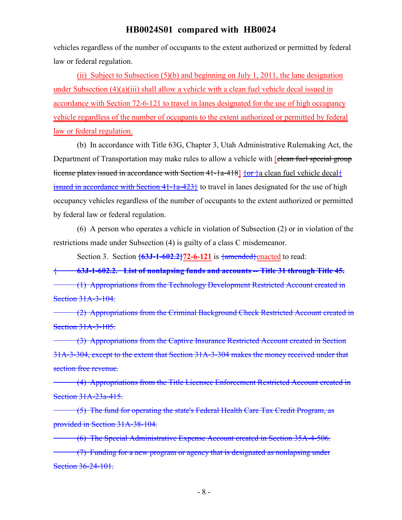vehicles regardless of the number of occupants to the extent authorized or permitted by federal law or federal regulation.

(ii) Subject to Subsection  $(5)(b)$  and beginning on July 1, 2011, the lane designation under Subsection (4)(a)(iii) shall allow a vehicle with a clean fuel vehicle decal issued in accordance with Section 72-6-121 to travel in lanes designated for the use of high occupancy vehicle regardless of the number of occupants to the extent authorized or permitted by federal law or federal regulation.

(b) In accordance with Title 63G, Chapter 3, Utah Administrative Rulemaking Act, the Department of Transportation may make rules to allow a vehicle with *[clean fuel special group* license plates issued in accordance with Section 41-1a-418]  $\{or\}$  a clean fuel vehicle decal $\{$ issued in accordance with Section  $41$ - $1a$ - $423$ } to travel in lanes designated for the use of high occupancy vehicles regardless of the number of occupants to the extent authorized or permitted by federal law or federal regulation.

(6) A person who operates a vehicle in violation of Subsection (2) or in violation of the restrictions made under Subsection (4) is guilty of a class C misdemeanor.

Section 3. Section  $\{63J-1-602.2\}$ 72-6-121 is  $\{\text{amended}\}$ enacted to read:

{ 63J-1-602.2. List of nonlapsing funds and accounts -- Title 31 through Title 45. (1) Appropriations from the Technology Development Restricted Account created in Section 31A-3-104.

(2) Appropriations from the Criminal Background Check Restricted Account created in Section 31A-3-105.

(3) Appropriations from the Captive Insurance Restricted Account created in Section 31A-3-304, except to the extent that Section 31A-3-304 makes the money received under that section free revenue.

(4) Appropriations from the Title Licensee Enforcement Restricted Account created in Section 31A-23a-415.

(5) The fund for operating the state's Federal Health Care Tax Credit Program, as provided in Section 31A-38-104.

(6) The Special Administrative Expense Account created in Section 35A-4-506.

(7) Funding for a new program or agency that is designated as nonlapsing under Section 36-24-101.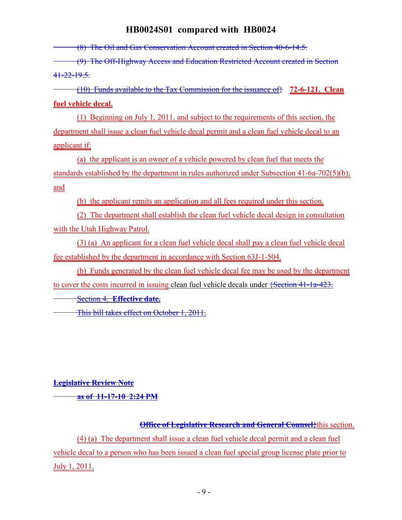(8) The Oil and Gas Conservation Account created in Section 40-6-14.5.

(9) The Off-Highway Access and Education Restricted Account created in Section 41-22-19.5.

(10) Funds available to the Tax Commission for the issuance of  $\frac{1}{2}$  72-6-121. Clean fuel vehicle decal.

(1) Beginning on July 1, 2011, and subject to the requirements of this section, the department shall issue a clean fuel vehicle decal permit and a clean fuel vehicle decal to an applicant if:

(a) the applicant is an owner of a vehicle powered by clean fuel that meets the standards established by the department in rules authorized under Subsection 41-6a-702(5)(b); and

(b) the applicant remits an application and all fees required under this section.

(2) The department shall establish the clean fuel vehicle decal design in consultation with the Utah Highway Patrol.

(3) (a) An applicant for a clean fuel vehicle decal shall pay a clean fuel vehicle decal fee established by the department in accordance with Section 63J-1-504.

(b) Funds generated by the clean fuel vehicle decal fee may be used by the department to cover the costs incurred in issuing clean fuel vehicle decals under {Section 41-1a-423.

Section 4. Effective date.

This bill takes effect on October 1, 2011.

Legislative Review Note

as of 11-17-10 2:24 PM

**Office of Legislative Research and General Counsel** this section.

(4) (a) The department shall issue a clean fuel vehicle decal permit and a clean fuel vehicle decal to a person who has been issued a clean fuel special group license plate prior to July 1, 2011.